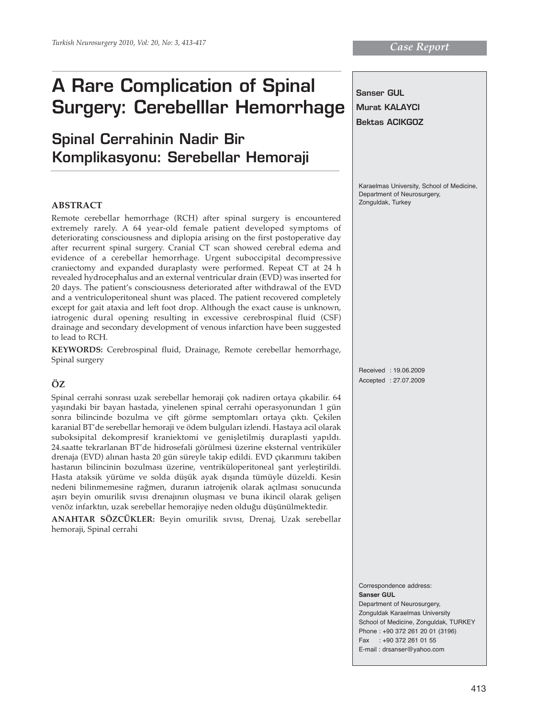# **A Rare Complication of Spinal Surgery: Cerebelllar Hemorrhage**

# **Spinal Cerrahinin Nadir Bir Komplikasyonu: Serebellar Hemoraji**

#### **ABSTRACT**

Remote cerebellar hemorrhage (RCH) after spinal surgery is encountered extremely rarely. A 64 year-old female patient developed symptoms of deteriorating consciousness and diplopia arising on the first postoperative day after recurrent spinal surgery. Cranial CT scan showed cerebral edema and evidence of a cerebellar hemorrhage. Urgent suboccipital decompressive craniectomy and expanded duraplasty were performed. Repeat CT at 24 h revealed hydrocephalus and an external ventricular drain (EVD) was inserted for 20 days. The patient's consciousness deteriorated after withdrawal of the EVD and a ventriculoperitoneal shunt was placed. The patient recovered completely except for gait ataxia and left foot drop. Although the exact cause is unknown, iatrogenic dural opening resulting in excessive cerebrospinal fluid (CSF) drainage and secondary development of venous infarction have been suggested to lead to RCH.

**KEYWORDS:** Cerebrospinal fluid, Drainage, Remote cerebellar hemorrhage, Spinal surgery

# **ÖZ**

Spinal cerrahi sonrası uzak serebellar hemoraji çok nadiren ortaya çıkabilir. 64 yaşındaki bir bayan hastada, yinelenen spinal cerrahi operasyonundan 1 gün sonra bilincinde bozulma ve çift görme semptomları ortaya çıktı. Çekilen karanial BT'de serebellar hemoraji ve ödem bulguları izlendi. Hastaya acil olarak suboksipital dekompresif kraniektomi ve genişletilmiş duraplasti yapıldı. 24.saatte tekrarlanan BT'de hidrosefali görülmesi üzerine eksternal ventriküler drenaja (EVD) alınan hasta 20 gün süreyle takip edildi. EVD çıkarımını takiben hastanın bilincinin bozulması üzerine, ventriküloperitoneal şant yerleştirildi. Hasta ataksik yürüme ve solda düşük ayak dışında tümüyle düzeldi. Kesin nedeni bilinmemesine rağmen, duranın iatrojenik olarak açılması sonucunda aşırı beyin omurilik sıvısı drenajının oluşması ve buna ikincil olarak gelişen venöz infarktın, uzak serebellar hemorajiye neden olduğu düşünülmektedir.

**ANAHTAR SÖZCÜKLER:** Beyin omurilik sıvısı, Drenaj, Uzak serebellar hemoraji, Spinal cerrahi



School of Medicine, Zonguldak, TURKEY Phone : +90 372 261 20 01 (3196) Fax : +90 372 261 01 55 E-mail : drsanser@yahoo.com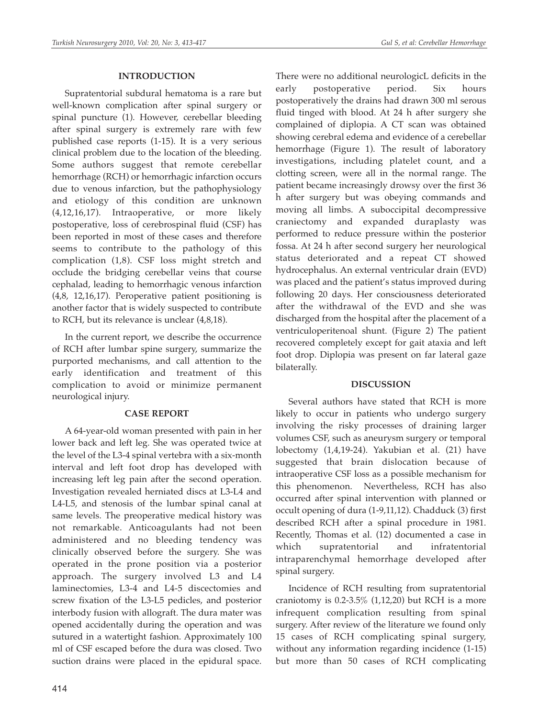# **INTRODUCTION**

Supratentorial subdural hematoma is a rare but well-known complication after spinal surgery or spinal puncture (1). However, cerebellar bleeding after spinal surgery is extremely rare with few published case reports (1-15). It is a very serious clinical problem due to the location of the bleeding. Some authors suggest that remote cerebellar hemorrhage (RCH) or hemorrhagic infarction occurs due to venous infarction, but the pathophysiology and etiology of this condition are unknown (4,12,16,17). Intraoperative, or more likely postoperative, loss of cerebrospinal fluid (CSF) has been reported in most of these cases and therefore seems to contribute to the pathology of this complication (1,8). CSF loss might stretch and occlude the bridging cerebellar veins that course cephalad, leading to hemorrhagic venous infarction (4,8, 12,16,17). Peroperative patient positioning is another factor that is widely suspected to contribute to RCH, but its relevance is unclear (4,8,18).

In the current report, we describe the occurrence of RCH after lumbar spine surgery, summarize the purported mechanisms, and call attention to the early identification and treatment of this complication to avoid or minimize permanent neurological injury.

# **CASE REPORT**

A 64-year-old woman presented with pain in her lower back and left leg. She was operated twice at the level of the L3-4 spinal vertebra with a six-month interval and left foot drop has developed with increasing left leg pain after the second operation. Investigation revealed herniated discs at L3-L4 and L4-L5, and stenosis of the lumbar spinal canal at same levels. The preoperative medical history was not remarkable. Anticoagulants had not been administered and no bleeding tendency was clinically observed before the surgery. She was operated in the prone position via a posterior approach. The surgery involved L3 and L4 laminectomies, L3-4 and L4-5 discectomies and screw fixation of the L3-L5 pedicles, and posterior interbody fusion with allograft. The dura mater was opened accidentally during the operation and was sutured in a watertight fashion. Approximately 100 ml of CSF escaped before the dura was closed. Two suction drains were placed in the epidural space.

There were no additional neurologicL deficits in the early postoperative period. Six hours postoperatively the drains had drawn 300 ml serous fluid tinged with blood. At 24 h after surgery she complained of diplopia. A CT scan was obtained showing cerebral edema and evidence of a cerebellar hemorrhage (Figure 1). The result of laboratory investigations, including platelet count, and a clotting screen, were all in the normal range. The patient became increasingly drowsy over the first 36 h after surgery but was obeying commands and moving all limbs. A suboccipital decompressive craniectomy and expanded duraplasty was performed to reduce pressure within the posterior fossa. At 24 h after second surgery her neurological status deteriorated and a repeat CT showed hydrocephalus. An external ventricular drain (EVD) was placed and the patient's status improved during following 20 days. Her consciousness deteriorated after the withdrawal of the EVD and she was discharged from the hospital after the placement of a ventriculoperitenoal shunt. (Figure 2) The patient recovered completely except for gait ataxia and left foot drop. Diplopia was present on far lateral gaze bilaterally.

# **DISCUSSION**

Several authors have stated that RCH is more likely to occur in patients who undergo surgery involving the risky processes of draining larger volumes CSF, such as aneurysm surgery or temporal lobectomy (1,4,19-24). Yakubian et al. (21) have suggested that brain dislocation because of intraoperative CSF loss as a possible mechanism for this phenomenon. Nevertheless, RCH has also occurred after spinal intervention with planned or occult opening of dura (1-9,11,12). Chadduck (3) first described RCH after a spinal procedure in 1981. Recently, Thomas et al. (12) documented a case in which supratentorial and infratentorial intraparenchymal hemorrhage developed after spinal surgery.

Incidence of RCH resulting from supratentorial craniotomy is  $0.2$ -3.5% (1,12,20) but RCH is a more infrequent complication resulting from spinal surgery. After review of the literature we found only 15 cases of RCH complicating spinal surgery, without any information regarding incidence (1-15) but more than 50 cases of RCH complicating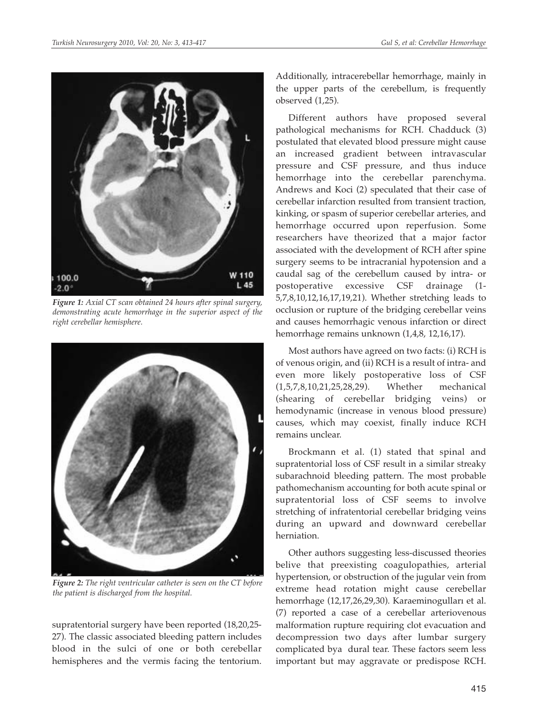

*Figure 1: Axial CT scan obtained 24 hours after spinal surgery, demonstrating acute hemorrhage in the superior aspect of the right cerebellar hemisphere.*



*Figure 2: The right ventricular catheter is seen on the CT before the patient is discharged from the hospital.*

supratentorial surgery have been reported (18,20,25- 27). The classic associated bleeding pattern includes blood in the sulci of one or both cerebellar hemispheres and the vermis facing the tentorium. Additionally, intracerebellar hemorrhage, mainly in the upper parts of the cerebellum, is frequently observed (1,25).

Different authors have proposed several pathological mechanisms for RCH. Chadduck (3) postulated that elevated blood pressure might cause an increased gradient between intravascular pressure and CSF pressure, and thus induce hemorrhage into the cerebellar parenchyma. Andrews and Koci (2) speculated that their case of cerebellar infarction resulted from transient traction, kinking, or spasm of superior cerebellar arteries, and hemorrhage occurred upon reperfusion. Some researchers have theorized that a major factor associated with the development of RCH after spine surgery seems to be intracranial hypotension and a caudal sag of the cerebellum caused by intra- or postoperative excessive CSF drainage (1- 5,7,8,10,12,16,17,19,21). Whether stretching leads to occlusion or rupture of the bridging cerebellar veins and causes hemorrhagic venous infarction or direct hemorrhage remains unknown (1,4,8, 12,16,17).

Most authors have agreed on two facts: (i) RCH is of venous origin, and (ii) RCH is a result of intra- and even more likely postoperative loss of CSF (1,5,7,8,10,21,25,28,29). Whether mechanical (shearing of cerebellar bridging veins) or hemodynamic (increase in venous blood pressure) causes, which may coexist, finally induce RCH remains unclear.

Brockmann et al. (1) stated that spinal and supratentorial loss of CSF result in a similar streaky subarachnoid bleeding pattern. The most probable pathomechanism accounting for both acute spinal or supratentorial loss of CSF seems to involve stretching of infratentorial cerebellar bridging veins during an upward and downward cerebellar herniation.

Other authors suggesting less-discussed theories belive that preexisting coagulopathies, arterial hypertension, or obstruction of the jugular vein from extreme head rotation might cause cerebellar hemorrhage (12,17,26,29,30). Karaeminogulları et al. (7) reported a case of a cerebellar arteriovenous malformation rupture requiring clot evacuation and decompression two days after lumbar surgery complicated bya dural tear. These factors seem less important but may aggravate or predispose RCH.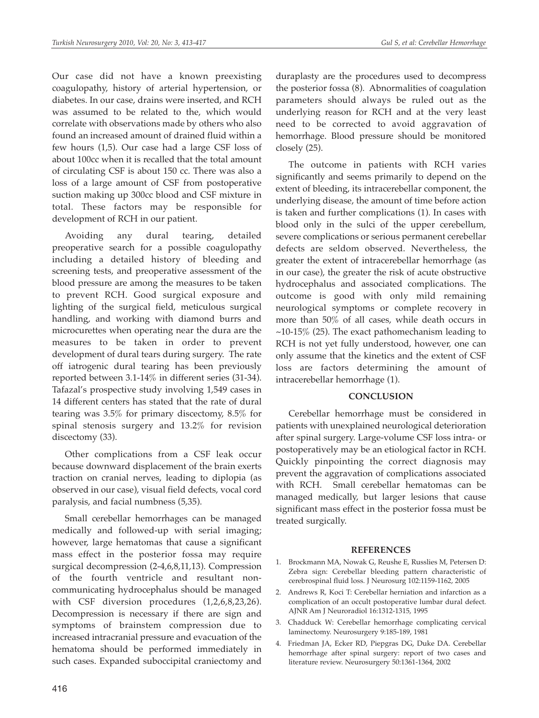Our case did not have a known preexisting coagulopathy, history of arterial hypertension, or diabetes. In our case, drains were inserted, and RCH was assumed to be related to the, which would correlate with observations made by others who also found an increased amount of drained fluid within a few hours (1,5). Our case had a large CSF loss of about 100cc when it is recalled that the total amount of circulating CSF is about 150 cc. There was also a loss of a large amount of CSF from postoperative suction making up 300cc blood and CSF mixture in total. These factors may be responsible for development of RCH in our patient.

Avoiding any dural tearing, detailed preoperative search for a possible coagulopathy including a detailed history of bleeding and screening tests, and preoperative assessment of the blood pressure are among the measures to be taken to prevent RCH. Good surgical exposure and lighting of the surgical field, meticulous surgical handling, and working with diamond burrs and microcurettes when operating near the dura are the measures to be taken in order to prevent development of dural tears during surgery. The rate off iatrogenic dural tearing has been previously reported between 3.1-14% in different series (31-34). Tafazal's prospective study involving 1,549 cases in 14 different centers has stated that the rate of dural tearing was 3.5% for primary discectomy, 8.5% for spinal stenosis surgery and 13.2% for revision discectomy (33).

Other complications from a CSF leak occur because downward displacement of the brain exerts traction on cranial nerves, leading to diplopia (as observed in our case), visual field defects, vocal cord paralysis, and facial numbness (5,35).

Small cerebellar hemorrhages can be managed medically and followed-up with serial imaging; however, large hematomas that cause a significant mass effect in the posterior fossa may require surgical decompression (2-4,6,8,11,13). Compression of the fourth ventricle and resultant noncommunicating hydrocephalus should be managed with CSF diversion procedures (1,2,6,8,23,26). Decompression is necessary if there are sign and symptoms of brainstem compression due to increased intracranial pressure and evacuation of the hematoma should be performed immediately in such cases. Expanded suboccipital craniectomy and

duraplasty are the procedures used to decompress the posterior fossa (8). Abnormalities of coagulation parameters should always be ruled out as the underlying reason for RCH and at the very least need to be corrected to avoid aggravation of hemorrhage. Blood pressure should be monitored closely (25).

The outcome in patients with RCH varies significantly and seems primarily to depend on the extent of bleeding, its intracerebellar component, the underlying disease, the amount of time before action is taken and further complications (1). In cases with blood only in the sulci of the upper cerebellum, severe complications or serious permanent cerebellar defects are seldom observed. Nevertheless, the greater the extent of intracerebellar hemorrhage (as in our case), the greater the risk of acute obstructive hydrocephalus and associated complications. The outcome is good with only mild remaining neurological symptoms or complete recovery in more than 50% of all cases, while death occurs in  $\sim$ 10-15% (25). The exact pathomechanism leading to RCH is not yet fully understood, however, one can only assume that the kinetics and the extent of CSF loss are factors determining the amount of intracerebellar hemorrhage (1).

# **CONCLUSION**

Cerebellar hemorrhage must be considered in patients with unexplained neurological deterioration after spinal surgery. Large-volume CSF loss intra- or postoperatively may be an etiological factor in RCH. Quickly pinpointing the correct diagnosis may prevent the aggravation of complications associated with RCH. Small cerebellar hematomas can be managed medically, but larger lesions that cause significant mass effect in the posterior fossa must be treated surgically.

# **REFERENCES**

- 1. Brockmann MA, Nowak G, Reushe E, Russlies M, Petersen D: Zebra sign: Cerebellar bleeding pattern characteristic of cerebrospinal fluid loss. J Neurosurg 102:1159-1162, 2005
- 2. Andrews R, Koci T: Cerebellar herniation and infarction as a complication of an occult postoperative lumbar dural defect. AJNR Am J Neuroradiol 16:1312-1315, 1995
- 3. Chadduck W: Cerebellar hemorrhage complicating cervical laminectomy. Neurosurgery 9:185-189, 1981
- 4. Friedman JA, Ecker RD, Piepgras DG, Duke DA. Cerebellar hemorrhage after spinal surgery: report of two cases and literature review. Neurosurgery 50:1361-1364, 2002